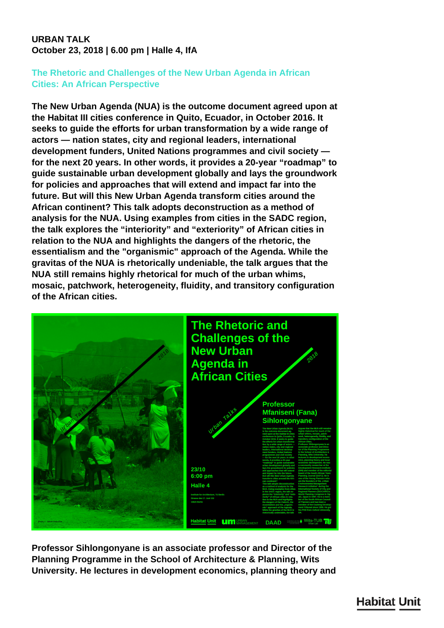## **URBAN TALK October 23, 2018 | 6.00 pm | Halle 4, IfA**

## **The Rhetoric and Challenges of the New Urban Agenda in African Cities: An African Perspective**

**The New Urban Agenda (NUA) is the outcome document agreed upon at the Habitat III cities conference in Quito, Ecuador, in October 2016. It seeks to guide the efforts for urban transformation by a wide range of actors — nation states, city and regional leaders, international development funders, United Nations programmes and civil society for the next 20 years. In other words, it provides a 20-year "roadmap" to guide sustainable urban development globally and lays the groundwork for policies and approaches that will extend and impact far into the future. But will this New Urban Agenda transform cities around the African continent? This talk adopts deconstruction as a method of analysis for the NUA. Using examples from cities in the SADC region, the talk explores the "interiority" and "exteriority" of African cities in relation to the NUA and highlights the dangers of the rhetoric, the essentialism and the "organismic" approach of the Agenda. While the gravitas of the NUA is rhetorically undeniable, the talk argues that the NUA still remains highly rhetorical for much of the urban whims, mosaic, patchwork, heterogeneity, fluidity, and transitory configuration of the African cities.**



**Professor Sihlongonyane is an associate professor and Director of the Planning Programme in the School of Architecture & Planning, Wits University. He lectures in development economics, planning theory and**

**Habitat Unit**